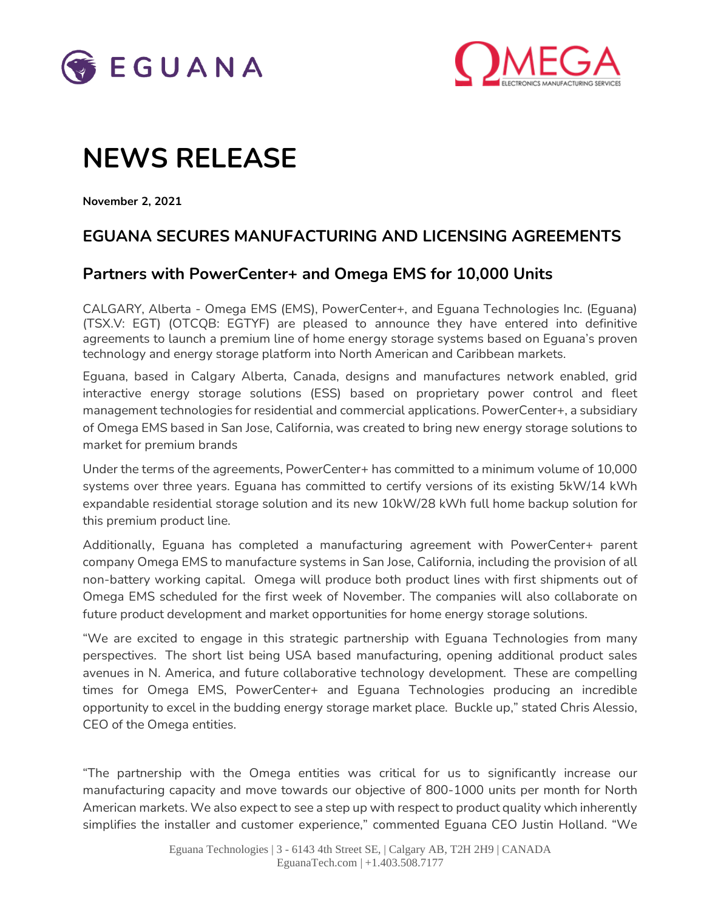



# **NEWS RELEASE**

**November 2, 2021**

## **EGUANA SECURES MANUFACTURING AND LICENSING AGREEMENTS**

### **Partners with PowerCenter+ and Omega EMS for 10,000 Units**

CALGARY, Alberta - Omega EMS (EMS), PowerCenter+, and Eguana Technologies Inc. (Eguana) (TSX.V: EGT) (OTCQB: EGTYF) are pleased to announce they have entered into definitive agreements to launch a premium line of home energy storage systems based on Eguana's proven technology and energy storage platform into North American and Caribbean markets.

Eguana, based in Calgary Alberta, Canada, designs and manufactures network enabled, grid interactive energy storage solutions (ESS) based on proprietary power control and fleet management technologies for residential and commercial applications. PowerCenter+, a subsidiary of Omega EMS based in San Jose, California, was created to bring new energy storage solutions to market for premium brands

Under the terms of the agreements, PowerCenter+ has committed to a minimum volume of 10,000 systems over three years. Eguana has committed to certify versions of its existing 5kW/14 kWh expandable residential storage solution and its new 10kW/28 kWh full home backup solution for this premium product line.

Additionally, Eguana has completed a manufacturing agreement with PowerCenter+ parent company Omega EMS to manufacture systems in San Jose, California, including the provision of all non-battery working capital. Omega will produce both product lines with first shipments out of Omega EMS scheduled for the first week of November. The companies will also collaborate on future product development and market opportunities for home energy storage solutions.

"We are excited to engage in this strategic partnership with Eguana Technologies from many perspectives. The short list being USA based manufacturing, opening additional product sales avenues in N. America, and future collaborative technology development. These are compelling times for Omega EMS, PowerCenter+ and Eguana Technologies producing an incredible opportunity to excel in the budding energy storage market place. Buckle up," stated Chris Alessio, CEO of the Omega entities.

"The partnership with the Omega entities was critical for us to significantly increase our manufacturing capacity and move towards our objective of 800-1000 units per month for North American markets. We also expect to see a step up with respect to product quality which inherently simplifies the installer and customer experience," commented Eguana CEO Justin Holland. "We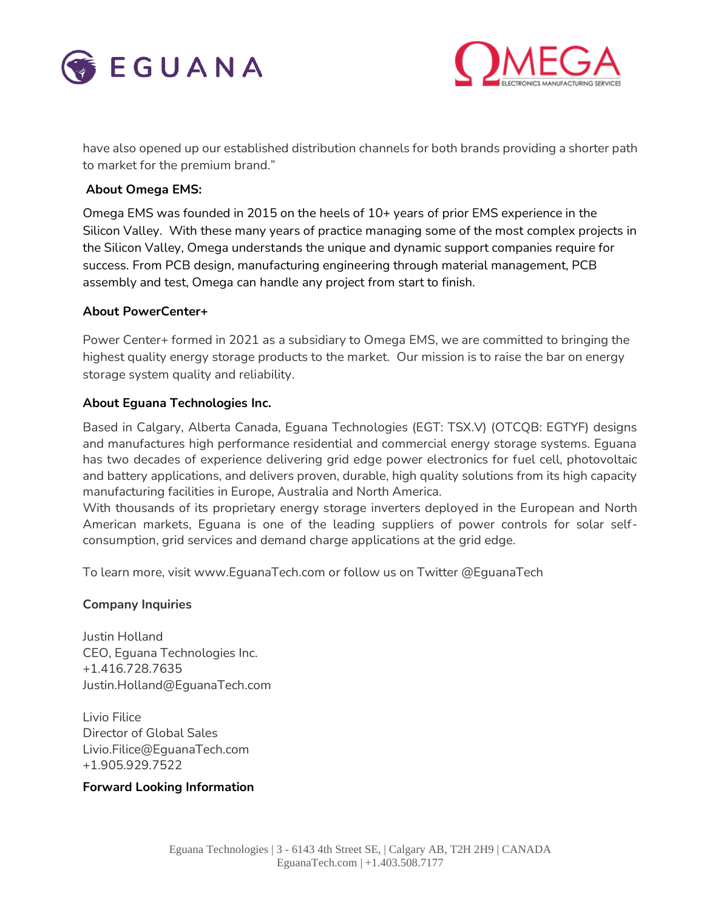



have also opened up our established distribution channels for both brands providing a shorter path to market for the premium brand."

#### **About Omega EMS:**

Omega EMS was founded in 2015 on the heels of 10+ years of prior EMS experience in the Silicon Valley. With these many years of practice managing some of the most complex projects in the Silicon Valley, Omega understands the unique and dynamic support companies require for success. From PCB design, manufacturing engineering through material management, PCB assembly and test, Omega can handle any project from start to finish.

#### **About PowerCenter+**

Power Center+ formed in 2021 as a subsidiary to Omega EMS, we are committed to bringing the highest quality energy storage products to the market. Our mission is to raise the bar on energy storage system quality and reliability.

#### **About Eguana Technologies Inc.**

Based in Calgary, Alberta Canada, Eguana Technologies (EGT: TSX.V) (OTCQB: EGTYF) designs and manufactures high performance residential and commercial energy storage systems. Eguana has two decades of experience delivering grid edge power electronics for fuel cell, photovoltaic and battery applications, and delivers proven, durable, high quality solutions from its high capacity manufacturing facilities in Europe, Australia and North America.

With thousands of its proprietary energy storage inverters deployed in the European and North American markets, Eguana is one of the leading suppliers of power controls for solar selfconsumption, grid services and demand charge applications at the grid edge.

To learn more, visit [www.EguanaTech.com](http://www.eguanatech.com/) or follow us on Twitter [@EguanaTech](https://twitter.com/EguanaTech)

#### **Company Inquiries**

Justin Holland CEO, Eguana Technologies Inc. +1.416.728.7635 [Justin.Holland@EguanaTech.com](mailto:Justin.Holland@EguanaTech.com)

Livio Filice Director of Global Sales Livio.Filice@EguanaTech.com +1.905.929.7522

#### **Forward Looking Information**